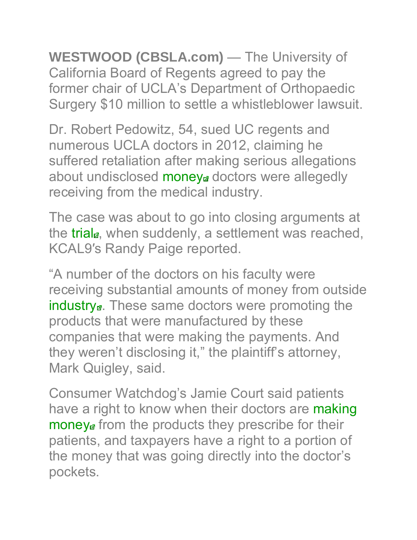**WESTWOOD (CBSLA.com)** — The University of California Board of Regents agreed to pay the former chair of UCLA's Department of Orthopaedic Surgery \$10 million to settle a whistleblower lawsuit.

Dr. Robert Pedowitz, 54, sued UC regents and numerous UCLA doctors in 2012, claiming he suffered retaliation after making serious allegations about undisclosed money doctors were allegedly receiving from the medical industry.

The case was about to go into closing arguments at the trial<sub>d</sub>, when suddenly, a settlement was reached, KCAL9′s Randy Paige reported.

"A number of the doctors on his faculty were receiving substantial amounts of money from outside industry<sub>a</sub>. These same doctors were promoting the products that were manufactured by these companies that were making the payments. And they weren't disclosing it," the plaintiff's attorney, Mark Quigley, said.

Consumer Watchdog's Jamie Court said patients have a right to know when their doctors are making money<sup>a</sup> from the products they prescribe for their patients, and taxpayers have a right to a portion of the money that was going directly into the doctor's pockets.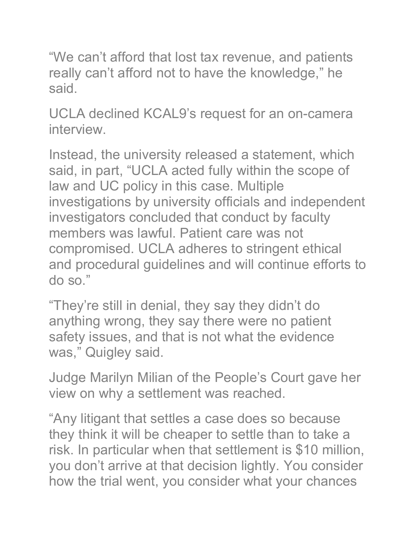"We can't afford that lost tax revenue, and patients really can't afford not to have the knowledge," he said.

UCLA declined KCAL9's request for an on-camera interview.

Instead, the university released a statement, which said, in part, "UCLA acted fully within the scope of law and UC policy in this case. Multiple investigations by university officials and independent investigators concluded that conduct by faculty members was lawful. Patient care was not compromised. UCLA adheres to stringent ethical and procedural guidelines and will continue efforts to do so."

"They're still in denial, they say they didn't do anything wrong, they say there were no patient safety issues, and that is not what the evidence was," Quigley said.

Judge Marilyn Milian of the People's Court gave her view on why a settlement was reached.

"Any litigant that settles a case does so because they think it will be cheaper to settle than to take a risk. In particular when that settlement is \$10 million, you don't arrive at that decision lightly. You consider how the trial went, you consider what your chances